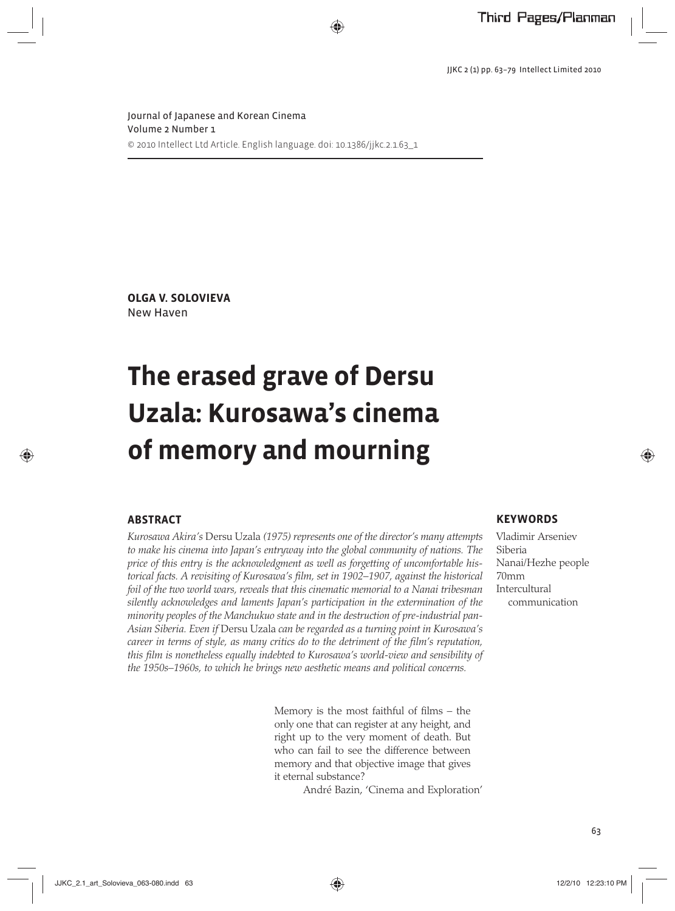JJKC 2 (1) pp. 63-79 Intellect Limited 2010

Journal of Japanese and Korean Cinema Volume 2 Number 1 © 2010 Intellect Ltd Article. English language. doi: 10.1386/jjkc.2.1.63\_1

♠

**OLGA V. SOLOVIEVA** New Haven

# The erased grave of Dersu Uzala: Kurosawa's cinema of memory and mourning

### **ABSTRACT**

⊕

Kurosawa Akira's Dersu Uzala (1975) represents one of the director's many attempts to make his cinema into Japan's entryway into the global community of nations. The price of this entry is the acknowledgment as well as forgetting of uncomfortable historical facts. A revisiting of Kurosawa's film, set in 1902-1907, against the historical foil of the two world wars, reveals that this cinematic memorial to a Nanai tribesman silently acknowledges and laments Japan's participation in the extermination of the minority peoples of the Manchukuo state and in the destruction of pre-industrial pan-Asian Siberia. Even if Dersu Uzala can be regarded as a turning point in Kurosawa's career in terms of style, as many critics do to the detriment of the film's reputation, this film is nonetheless equally indebted to Kurosawa's world-view and sensibility of the 1950s-1960s, to which he brings new aesthetic means and political concerns.

> Memory is the most faithful of films - the only one that can register at any height, and right up to the very moment of death. But who can fail to see the difference between memory and that objective image that gives it eternal substance?

> > André Bazin, 'Cinema and Exploration'

### **KEYWORDS**

Vladimir Arseniev Siberia Nanai/Hezhe people  $70mm$ Intercultural communication

⊕

63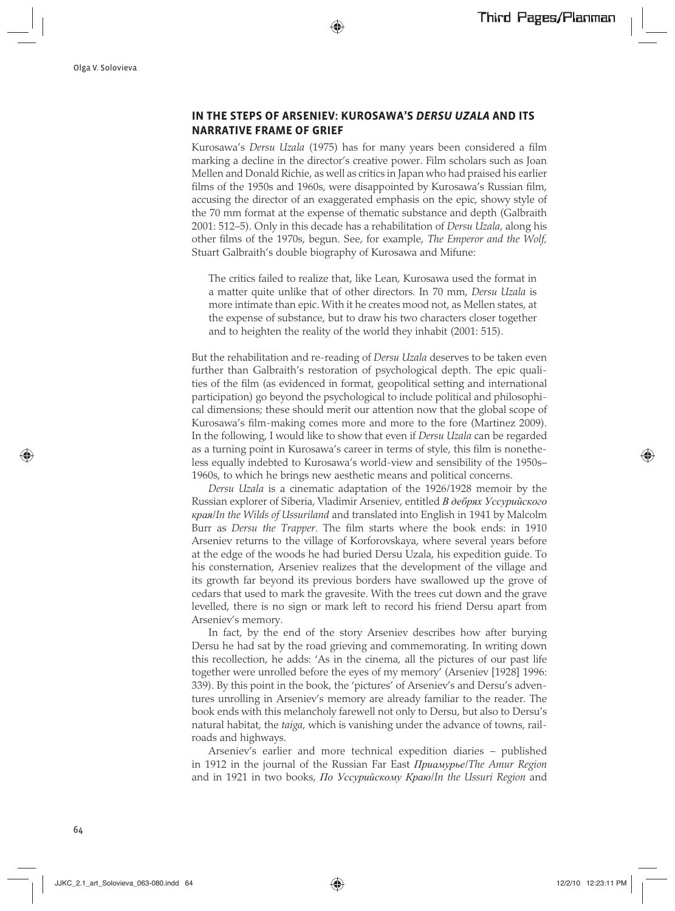### IN THE STEPS OF ARSENIEV: KUROSAWA'S DERSU UZALA AND ITS **NARRATIVE FRAME OF GRIEF**

⊕

Kurosawa's Dersu Uzala (1975) has for many years been considered a film marking a decline in the director's creative power. Film scholars such as Joan Mellen and Donald Richie, as well as critics in Japan who had praised his earlier films of the 1950s and 1960s, were disappointed by Kurosawa's Russian film, accusing the director of an exaggerated emphasis on the epic, showy style of the 70 mm format at the expense of thematic substance and depth (Galbraith 2001: 512-5). Only in this decade has a rehabilitation of Dersu Uzala, along his other films of the 1970s, begun. See, for example, The Emperor and the Wolf, Stuart Galbraith's double biography of Kurosawa and Mifune:

The critics failed to realize that, like Lean, Kurosawa used the format in a matter quite unlike that of other directors. In 70 mm, Dersu Uzala is more intimate than epic. With it he creates mood not, as Mellen states, at the expense of substance, but to draw his two characters closer together and to heighten the reality of the world they inhabit (2001: 515).

But the rehabilitation and re-reading of *Dersu Uzala* deserves to be taken even further than Galbraith's restoration of psychological depth. The epic qualities of the film (as evidenced in format, geopolitical setting and international participation) go beyond the psychological to include political and philosophical dimensions; these should merit our attention now that the global scope of Kurosawa's film-making comes more and more to the fore (Martinez 2009). In the following, I would like to show that even if Dersu Uzala can be regarded as a turning point in Kurosawa's career in terms of style, this film is nonetheless equally indebted to Kurosawa's world-view and sensibility of the 1950s-1960s, to which he brings new aesthetic means and political concerns.

Dersu Uzala is a cinematic adaptation of the 1926/1928 memoir by the Russian explorer of Siberia, Vladimir Arseniev, entitled B дебрях Уссурийского *kpaa/In the Wilds of Ussuriland* and translated into English in 1941 by Malcolm Burr as Dersu the Trapper. The film starts where the book ends: in 1910 Arseniev returns to the village of Korforovskaya, where several years before at the edge of the woods he had buried Dersu Uzala, his expedition guide. To his consternation, Arseniev realizes that the development of the village and its growth far beyond its previous borders have swallowed up the grove of cedars that used to mark the gravesite. With the trees cut down and the grave levelled, there is no sign or mark left to record his friend Dersu apart from Arseniev's memory.

In fact, by the end of the story Arseniev describes how after burying Dersu he had sat by the road grieving and commemorating. In writing down this recollection, he adds: 'As in the cinema, all the pictures of our past life together were unrolled before the eyes of my memory' (Arseniev [1928] 1996: 339). By this point in the book, the 'pictures' of Arseniev's and Dersu's adventures unrolling in Arseniev's memory are already familiar to the reader. The book ends with this melancholy farewell not only to Dersu, but also to Dersu's natural habitat, the *taiga*, which is vanishing under the advance of towns, railroads and highways.

Arseniev's earlier and more technical expedition diaries – published in 1912 in the journal of the Russian Far East *Приамурье/The Amur Region* and in 1921 in two books, *Πο Уссурийскому Краю/In the Ussuri Region* and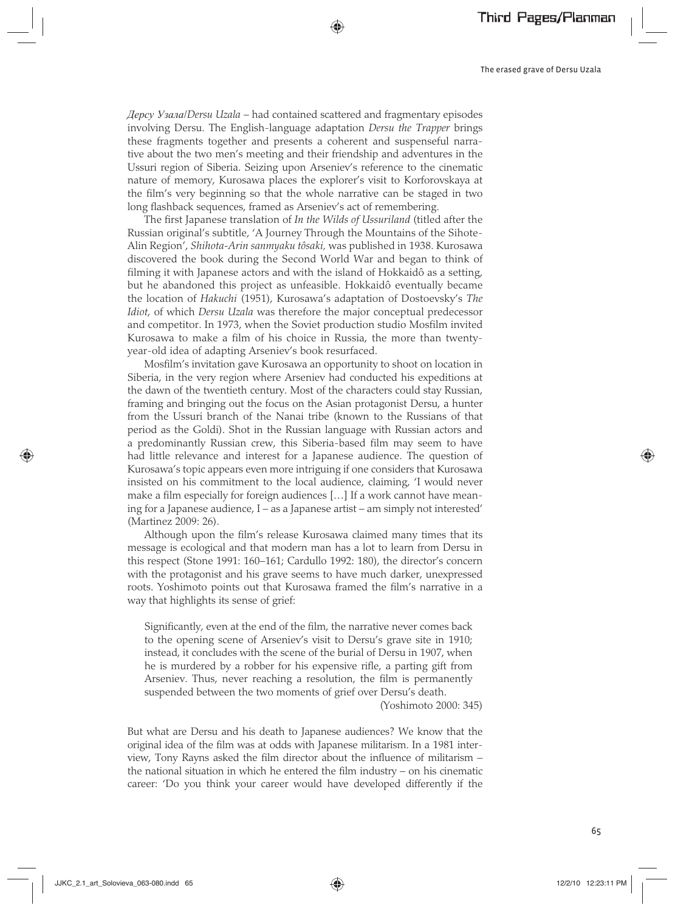Дерсу Узала/Dersu Uzala – had contained scattered and fragmentary episodes involving Dersu. The English-language adaptation Dersu the Trapper brings these fragments together and presents a coherent and suspenseful narrative about the two men's meeting and their friendship and adventures in the Ussuri region of Siberia. Seizing upon Arseniev's reference to the cinematic nature of memory, Kurosawa places the explorer's visit to Korforovskaya at the film's very beginning so that the whole narrative can be staged in two long flashback sequences, framed as Arseniev's act of remembering.

⊕

The first Japanese translation of In the Wilds of Ussuriland (titled after the Russian original's subtitle, 'A Journey Through the Mountains of the Sihote-Alin Region', Shihota-Arin sanmyaku tôsaki, was published in 1938. Kurosawa discovered the book during the Second World War and began to think of filming it with Japanese actors and with the island of Hokkaidô as a setting, but he abandoned this project as unfeasible. Hokkaidô eventually became the location of Hakuchi (1951), Kurosawa's adaptation of Dostoevsky's The *Idiot*, of which *Dersu Uzala* was therefore the major conceptual predecessor and competitor. In 1973, when the Soviet production studio Mosfilm invited Kurosawa to make a film of his choice in Russia, the more than twentyyear-old idea of adapting Arseniev's book resurfaced.

Mosfilm's invitation gave Kurosawa an opportunity to shoot on location in Siberia, in the very region where Arseniev had conducted his expeditions at the dawn of the twentieth century. Most of the characters could stay Russian, framing and bringing out the focus on the Asian protagonist Dersu, a hunter from the Ussuri branch of the Nanai tribe (known to the Russians of that period as the Goldi). Shot in the Russian language with Russian actors and a predominantly Russian crew, this Siberia-based film may seem to have had little relevance and interest for a Japanese audience. The question of Kurosawa's topic appears even more intriguing if one considers that Kurosawa insisted on his commitment to the local audience, claiming, 'I would never make a film especially for foreign audiences [...] If a work cannot have meaning for a Japanese audience, I - as a Japanese artist - am simply not interested' (Martinez 2009: 26).

Although upon the film's release Kurosawa claimed many times that its message is ecological and that modern man has a lot to learn from Dersu in this respect (Stone 1991: 160–161; Cardullo 1992: 180), the director's concern with the protagonist and his grave seems to have much darker, unexpressed roots. Yoshimoto points out that Kurosawa framed the film's narrative in a way that highlights its sense of grief:

Significantly, even at the end of the film, the narrative never comes back to the opening scene of Arseniev's visit to Dersu's grave site in 1910; instead, it concludes with the scene of the burial of Dersu in 1907, when he is murdered by a robber for his expensive rifle, a parting gift from Arseniev. Thus, never reaching a resolution, the film is permanently suspended between the two moments of grief over Dersu's death.

(Yoshimoto 2000: 345)

But what are Dersu and his death to Japanese audiences? We know that the original idea of the film was at odds with Japanese militarism. In a 1981 interview, Tony Rayns asked the film director about the influence of militarism – the national situation in which he entered the film industry - on his cinematic career: 'Do you think your career would have developed differently if the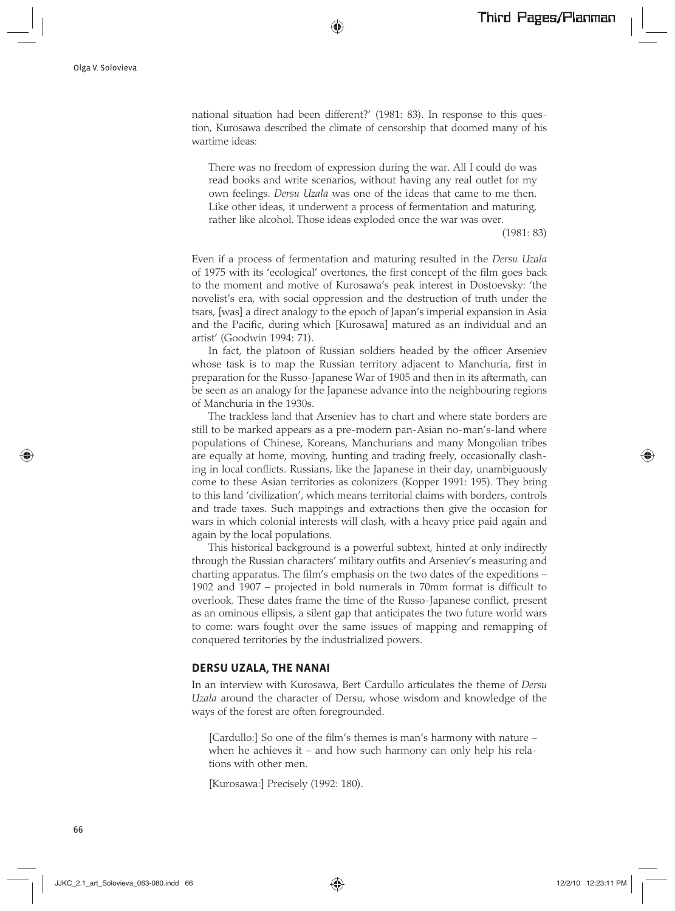national situation had been different?' (1981: 83). In response to this question, Kurosawa described the climate of censorship that doomed many of his wartime ideas:

⊕

There was no freedom of expression during the war. All I could do was read books and write scenarios, without having any real outlet for my own feelings. Dersu Uzala was one of the ideas that came to me then. Like other ideas, it underwent a process of fermentation and maturing, rather like alcohol. Those ideas exploded once the war was over.

 $(1981: 83)$ 

Even if a process of fermentation and maturing resulted in the *Dersu Uzala* of 1975 with its 'ecological' overtones, the first concept of the film goes back to the moment and motive of Kurosawa's peak interest in Dostoevsky: 'the novelist's era, with social oppression and the destruction of truth under the tsars, [was] a direct analogy to the epoch of Japan's imperial expansion in Asia and the Pacific, during which [Kurosawa] matured as an individual and an artist' (Goodwin 1994: 71).

In fact, the platoon of Russian soldiers headed by the officer Arseniev whose task is to map the Russian territory adjacent to Manchuria, first in preparation for the Russo-Japanese War of 1905 and then in its aftermath, can be seen as an analogy for the Japanese advance into the neighbouring regions of Manchuria in the 1930s.

The trackless land that Arseniev has to chart and where state borders are still to be marked appears as a pre-modern pan-Asian no-man's-land where populations of Chinese, Koreans, Manchurians and many Mongolian tribes are equally at home, moving, hunting and trading freely, occasionally clashing in local conflicts. Russians, like the Japanese in their day, unambiguously come to these Asian territories as colonizers (Kopper 1991: 195). They bring to this land 'civilization', which means territorial claims with borders, controls and trade taxes. Such mappings and extractions then give the occasion for wars in which colonial interests will clash, with a heavy price paid again and again by the local populations.

This historical background is a powerful subtext, hinted at only indirectly through the Russian characters' military outfits and Arseniev's measuring and charting apparatus. The film's emphasis on the two dates of the expeditions -1902 and 1907 – projected in bold numerals in 70mm format is difficult to overlook. These dates frame the time of the Russo-Japanese conflict, present as an ominous ellipsis, a silent gap that anticipates the two future world wars to come: wars fought over the same issues of mapping and remapping of conquered territories by the industrialized powers.

### DERSU UZALA, THE NANAI

In an interview with Kurosawa, Bert Cardullo articulates the theme of Dersu Uzala around the character of Dersu, whose wisdom and knowledge of the ways of the forest are often foregrounded.

[Cardullo:] So one of the film's themes is man's harmony with nature – when he achieves it  $-$  and how such harmony can only help his relations with other men.

[Kurosawa:] Precisely (1992: 180).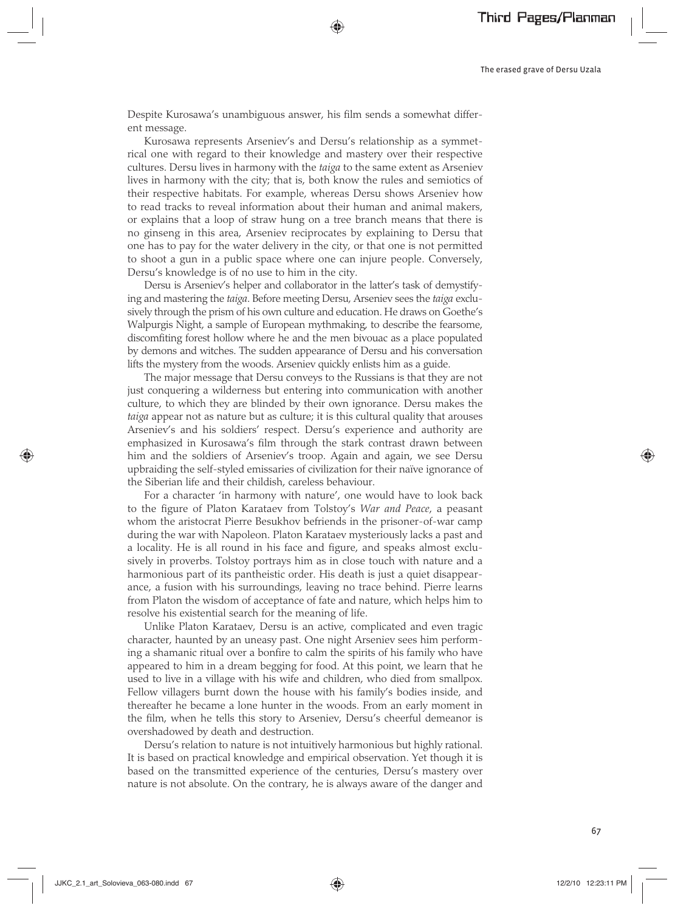Despite Kurosawa's unambiguous answer, his film sends a somewhat different message.

Kurosawa represents Arseniev's and Dersu's relationship as a symmetrical one with regard to their knowledge and mastery over their respective cultures. Dersu lives in harmony with the taiga to the same extent as Arseniev lives in harmony with the city; that is, both know the rules and semiotics of their respective habitats. For example, whereas Dersu shows Arseniev how to read tracks to reveal information about their human and animal makers, or explains that a loop of straw hung on a tree branch means that there is no ginseng in this area, Arseniev reciprocates by explaining to Dersu that one has to pay for the water delivery in the city, or that one is not permitted to shoot a gun in a public space where one can injure people. Conversely, Dersu's knowledge is of no use to him in the city.

Dersu is Arseniev's helper and collaborator in the latter's task of demystifying and mastering the taiga. Before meeting Dersu, Arseniev sees the taiga exclusively through the prism of his own culture and education. He draws on Goethe's Walpurgis Night, a sample of European mythmaking, to describe the fearsome, discomfiting forest hollow where he and the men bivouac as a place populated by demons and witches. The sudden appearance of Dersu and his conversation lifts the mystery from the woods. Arseniev quickly enlists him as a guide.

The major message that Dersu conveys to the Russians is that they are not just conquering a wilderness but entering into communication with another culture, to which they are blinded by their own ignorance. Dersu makes the taiga appear not as nature but as culture; it is this cultural quality that arouses Arseniev's and his soldiers' respect. Dersu's experience and authority are emphasized in Kurosawa's film through the stark contrast drawn between him and the soldiers of Arseniev's troop. Again and again, we see Dersu upbraiding the self-styled emissaries of civilization for their naïve ignorance of the Siberian life and their childish, careless behaviour.

For a character 'in harmony with nature', one would have to look back to the figure of Platon Karataev from Tolstoy's War and Peace, a peasant whom the aristocrat Pierre Besukhov befriends in the prisoner-of-war camp during the war with Napoleon. Platon Karataev mysteriously lacks a past and a locality. He is all round in his face and figure, and speaks almost exclusively in proverbs. Tolstoy portrays him as in close touch with nature and a harmonious part of its pantheistic order. His death is just a quiet disappearance, a fusion with his surroundings, leaving no trace behind. Pierre learns from Platon the wisdom of acceptance of fate and nature, which helps him to resolve his existential search for the meaning of life.

Unlike Platon Karataev, Dersu is an active, complicated and even tragic character, haunted by an uneasy past. One night Arseniev sees him performing a shamanic ritual over a bonfire to calm the spirits of his family who have appeared to him in a dream begging for food. At this point, we learn that he used to live in a village with his wife and children, who died from smallpox. Fellow villagers burnt down the house with his family's bodies inside, and thereafter he became a lone hunter in the woods. From an early moment in the film, when he tells this story to Arseniev, Dersu's cheerful demeanor is overshadowed by death and destruction.

Dersu's relation to nature is not intuitively harmonious but highly rational. It is based on practical knowledge and empirical observation. Yet though it is based on the transmitted experience of the centuries, Dersu's mastery over nature is not absolute. On the contrary, he is always aware of the danger and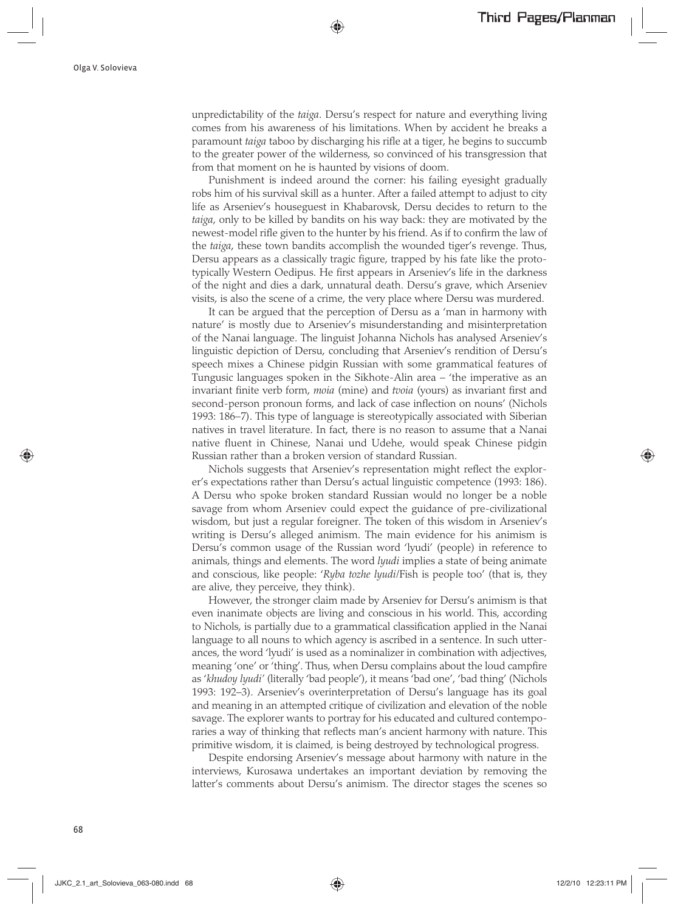unpredictability of the taiga. Dersu's respect for nature and everything living comes from his awareness of his limitations. When by accident he breaks a paramount taiga taboo by discharging his rifle at a tiger, he begins to succumb to the greater power of the wilderness, so convinced of his transgression that from that moment on he is haunted by visions of doom.

⊕

Punishment is indeed around the corner: his failing eyesight gradually robs him of his survival skill as a hunter. After a failed attempt to adjust to city life as Arseniev's houseguest in Khabarovsk, Dersu decides to return to the taiga, only to be killed by bandits on his way back: they are motivated by the newest-model rifle given to the hunter by his friend. As if to confirm the law of the taiga, these town bandits accomplish the wounded tiger's revenge. Thus, Dersu appears as a classically tragic figure, trapped by his fate like the prototypically Western Oedipus. He first appears in Arseniev's life in the darkness of the night and dies a dark, unnatural death. Dersu's grave, which Arseniev visits, is also the scene of a crime, the very place where Dersu was murdered.

It can be argued that the perception of Dersu as a 'man in harmony with nature' is mostly due to Arseniev's misunderstanding and misinterpretation of the Nanai language. The linguist Johanna Nichols has analysed Arseniev's linguistic depiction of Dersu, concluding that Arseniev's rendition of Dersu's speech mixes a Chinese pidgin Russian with some grammatical features of Tungusic languages spoken in the Sikhote-Alin area - 'the imperative as an invariant finite verb form, *moia* (mine) and *tooia* (yours) as invariant first and second-person pronoun forms, and lack of case inflection on nouns' (Nichols 1993: 186–7). This type of language is stereotypically associated with Siberian natives in travel literature. In fact, there is no reason to assume that a Nanai native fluent in Chinese, Nanai und Udehe, would speak Chinese pidgin Russian rather than a broken version of standard Russian.

Nichols suggests that Arseniev's representation might reflect the explorer's expectations rather than Dersu's actual linguistic competence (1993: 186). A Dersu who spoke broken standard Russian would no longer be a noble savage from whom Arseniev could expect the guidance of pre-civilizational wisdom, but just a regular foreigner. The token of this wisdom in Arseniev's writing is Dersu's alleged animism. The main evidence for his animism is Dersu's common usage of the Russian word 'lyudi' (people) in reference to animals, things and elements. The word *lyudi* implies a state of being animate and conscious, like people: 'Ryba tozhe lyudi/Fish is people too' (that is, they are alive, they perceive, they think).

However, the stronger claim made by Arseniev for Dersu's animism is that even inanimate objects are living and conscious in his world. This, according to Nichols, is partially due to a grammatical classification applied in the Nanai language to all nouns to which agency is ascribed in a sentence. In such utterances, the word 'lyudi' is used as a nominalizer in combination with adjectives, meaning 'one' or 'thing'. Thus, when Dersu complains about the loud campfire as 'khudoy lyudi' (literally 'bad people'), it means 'bad one', 'bad thing' (Nichols 1993: 192-3). Arseniev's overinterpretation of Dersu's language has its goal and meaning in an attempted critique of civilization and elevation of the noble savage. The explorer wants to portray for his educated and cultured contemporaries a way of thinking that reflects man's ancient harmony with nature. This primitive wisdom, it is claimed, is being destroyed by technological progress.

Despite endorsing Arseniev's message about harmony with nature in the interviews, Kurosawa undertakes an important deviation by removing the latter's comments about Dersu's animism. The director stages the scenes so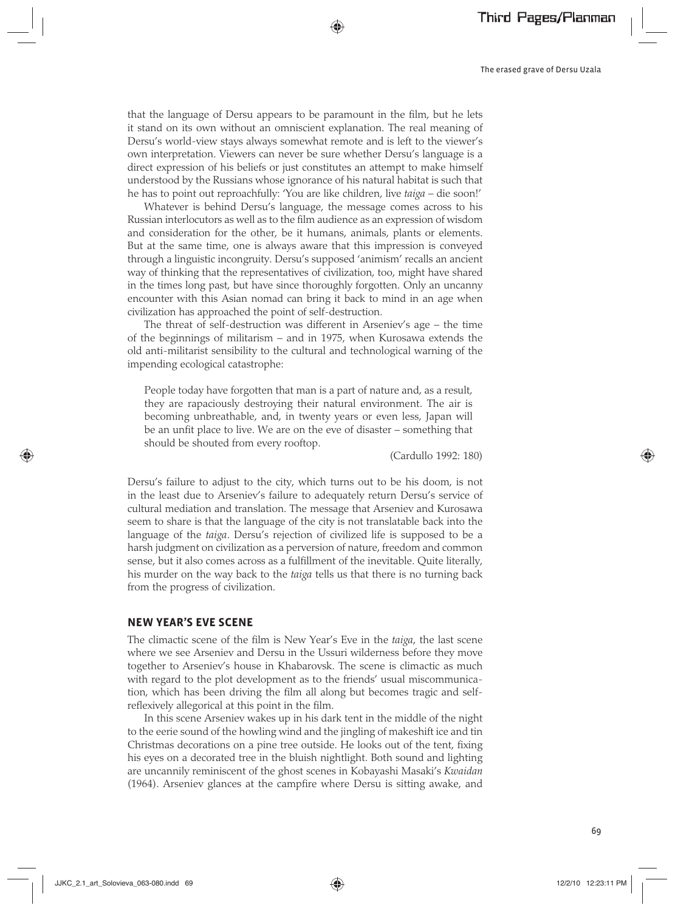that the language of Dersu appears to be paramount in the film, but he lets it stand on its own without an omniscient explanation. The real meaning of Dersu's world-view stays always somewhat remote and is left to the viewer's own interpretation. Viewers can never be sure whether Dersu's language is a direct expression of his beliefs or just constitutes an attempt to make himself understood by the Russians whose ignorance of his natural habitat is such that he has to point out reproachfully: 'You are like children, live taiga – die soon!'

Whatever is behind Dersu's language, the message comes across to his Russian interlocutors as well as to the film audience as an expression of wisdom and consideration for the other, be it humans, animals, plants or elements. But at the same time, one is always aware that this impression is conveyed through a linguistic incongruity. Dersu's supposed 'animism' recalls an ancient way of thinking that the representatives of civilization, too, might have shared in the times long past, but have since thoroughly forgotten. Only an uncanny encounter with this Asian nomad can bring it back to mind in an age when civilization has approached the point of self-destruction.

The threat of self-destruction was different in Arseniev's age - the time of the beginnings of militarism - and in 1975, when Kurosawa extends the old anti-militarist sensibility to the cultural and technological warning of the impending ecological catastrophe:

People today have forgotten that man is a part of nature and, as a result, they are rapaciously destroying their natural environment. The air is becoming unbreathable, and, in twenty years or even less, Japan will be an unfit place to live. We are on the eve of disaster - something that should be shouted from every rooftop.

(Cardullo 1992: 180)

Dersu's failure to adjust to the city, which turns out to be his doom, is not in the least due to Arseniev's failure to adequately return Dersu's service of cultural mediation and translation. The message that Arseniev and Kurosawa seem to share is that the language of the city is not translatable back into the language of the taiga. Dersu's rejection of civilized life is supposed to be a harsh judgment on civilization as a perversion of nature, freedom and common sense, but it also comes across as a fulfillment of the inevitable. Quite literally, his murder on the way back to the taiga tells us that there is no turning back from the progress of civilization.

### **NEW YEAR'S EVE SCENE**

The climactic scene of the film is New Year's Eve in the *taiga*, the last scene where we see Arseniev and Dersu in the Ussuri wilderness before they move together to Arseniev's house in Khabarovsk. The scene is climactic as much with regard to the plot development as to the friends' usual miscommunication, which has been driving the film all along but becomes tragic and selfreflexively allegorical at this point in the film.

In this scene Arseniev wakes up in his dark tent in the middle of the night to the eerie sound of the howling wind and the jingling of makeshift ice and tin Christmas decorations on a pine tree outside. He looks out of the tent, fixing his eyes on a decorated tree in the bluish nightlight. Both sound and lighting are uncannily reminiscent of the ghost scenes in Kobayashi Masaki's Kwaidan (1964). Arseniev glances at the campfire where Dersu is sitting awake, and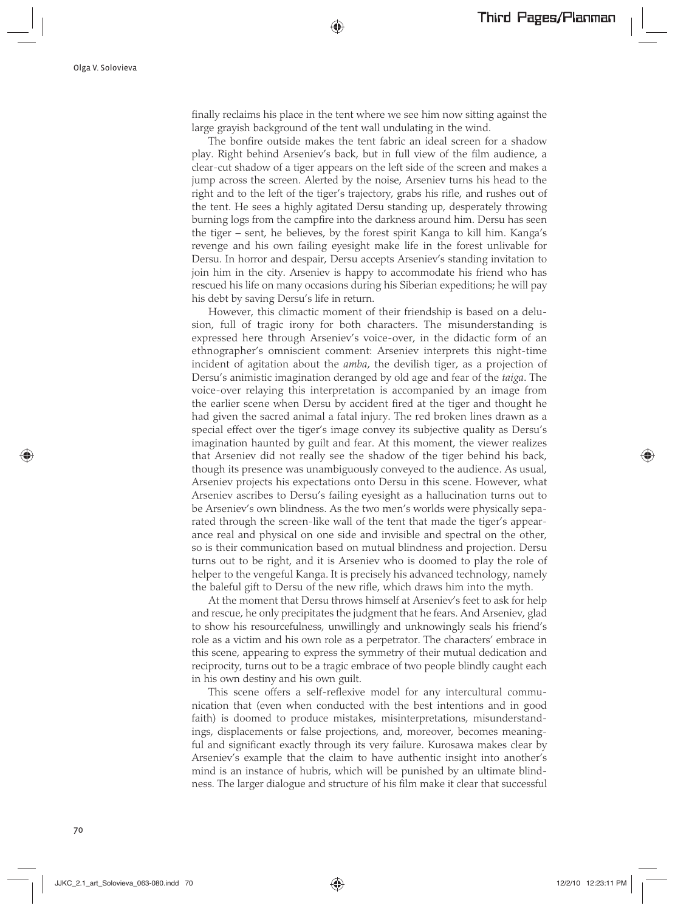finally reclaims his place in the tent where we see him now sitting against the large grayish background of the tent wall undulating in the wind.

⊕

The bonfire outside makes the tent fabric an ideal screen for a shadow play. Right behind Arseniev's back, but in full view of the film audience, a clear-cut shadow of a tiger appears on the left side of the screen and makes a jump across the screen. Alerted by the noise, Arseniev turns his head to the right and to the left of the tiger's trajectory, grabs his rifle, and rushes out of the tent. He sees a highly agitated Dersu standing up, desperately throwing burning logs from the campfire into the darkness around him. Dersu has seen the tiger – sent, he believes, by the forest spirit Kanga to kill him. Kanga's revenge and his own failing eyesight make life in the forest unlivable for Dersu. In horror and despair, Dersu accepts Arseniev's standing invitation to join him in the city. Arseniev is happy to accommodate his friend who has rescued his life on many occasions during his Siberian expeditions; he will pay his debt by saving Dersu's life in return.

However, this climactic moment of their friendship is based on a delusion, full of tragic irony for both characters. The misunderstanding is expressed here through Arseniev's voice-over, in the didactic form of an ethnographer's omniscient comment: Arseniev interprets this night-time incident of agitation about the *amba*, the devilish tiger, as a projection of Dersu's animistic imagination deranged by old age and fear of the taiga. The voice-over relaying this interpretation is accompanied by an image from the earlier scene when Dersu by accident fired at the tiger and thought he had given the sacred animal a fatal injury. The red broken lines drawn as a special effect over the tiger's image convey its subjective quality as Dersu's imagination haunted by guilt and fear. At this moment, the viewer realizes that Arseniev did not really see the shadow of the tiger behind his back, though its presence was unambiguously conveyed to the audience. As usual, Arseniev projects his expectations onto Dersu in this scene. However, what Arseniev ascribes to Dersu's failing eyesight as a hallucination turns out to be Arseniev's own blindness. As the two men's worlds were physically separated through the screen-like wall of the tent that made the tiger's appearance real and physical on one side and invisible and spectral on the other, so is their communication based on mutual blindness and projection. Dersu turns out to be right, and it is Arseniev who is doomed to play the role of helper to the vengeful Kanga. It is precisely his advanced technology, namely the baleful gift to Dersu of the new rifle, which draws him into the myth.

At the moment that Dersu throws himself at Arseniev's feet to ask for help and rescue, he only precipitates the judgment that he fears. And Arseniev, glad to show his resourcefulness, unwillingly and unknowingly seals his friend's role as a victim and his own role as a perpetrator. The characters' embrace in this scene, appearing to express the symmetry of their mutual dedication and reciprocity, turns out to be a tragic embrace of two people blindly caught each in his own destiny and his own guilt.

This scene offers a self-reflexive model for any intercultural communication that (even when conducted with the best intentions and in good faith) is doomed to produce mistakes, misinterpretations, misunderstandings, displacements or false projections, and, moreover, becomes meaningful and significant exactly through its very failure. Kurosawa makes clear by Arseniev's example that the claim to have authentic insight into another's mind is an instance of hubris, which will be punished by an ultimate blindness. The larger dialogue and structure of his film make it clear that successful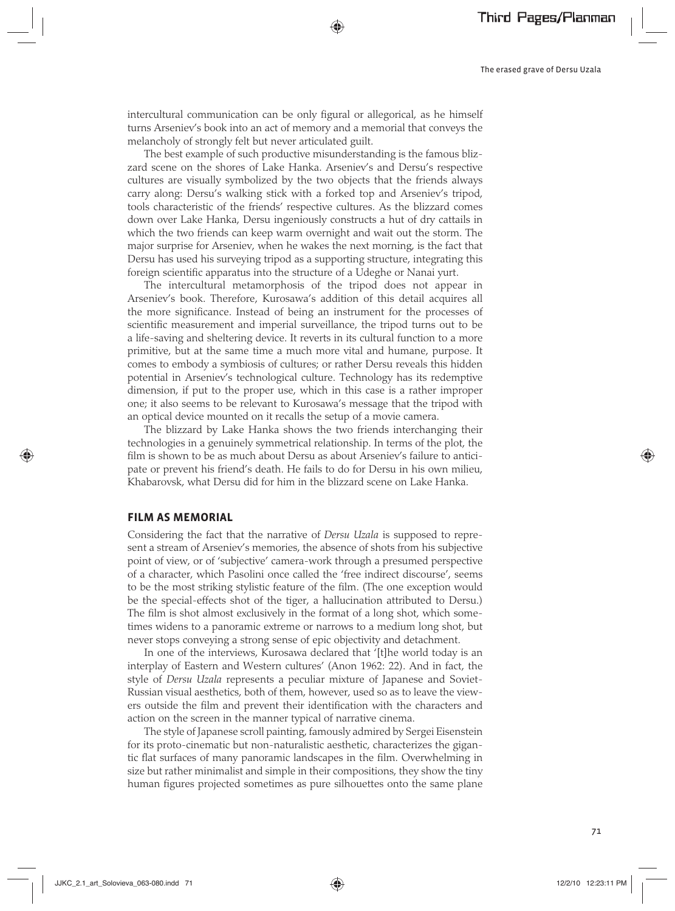intercultural communication can be only figural or allegorical, as he himself turns Arseniev's book into an act of memory and a memorial that conveys the melancholy of strongly felt but never articulated guilt.

The best example of such productive misunderstanding is the famous blizzard scene on the shores of Lake Hanka. Arseniev's and Dersu's respective cultures are visually symbolized by the two objects that the friends always carry along: Dersu's walking stick with a forked top and Arseniev's tripod, tools characteristic of the friends' respective cultures. As the blizzard comes down over Lake Hanka, Dersu ingeniously constructs a hut of dry cattails in which the two friends can keep warm overnight and wait out the storm. The major surprise for Arseniev, when he wakes the next morning, is the fact that Dersu has used his surveying tripod as a supporting structure, integrating this foreign scientific apparatus into the structure of a Udeghe or Nanai yurt.

The intercultural metamorphosis of the tripod does not appear in Arseniev's book. Therefore, Kurosawa's addition of this detail acquires all the more significance. Instead of being an instrument for the processes of scientific measurement and imperial surveillance, the tripod turns out to be a life-saving and sheltering device. It reverts in its cultural function to a more primitive, but at the same time a much more vital and humane, purpose. It comes to embody a symbiosis of cultures; or rather Dersu reveals this hidden potential in Arseniev's technological culture. Technology has its redemptive dimension, if put to the proper use, which in this case is a rather improper one; it also seems to be relevant to Kurosawa's message that the tripod with an optical device mounted on it recalls the setup of a movie camera.

The blizzard by Lake Hanka shows the two friends interchanging their technologies in a genuinely symmetrical relationship. In terms of the plot, the film is shown to be as much about Dersu as about Arseniev's failure to anticipate or prevent his friend's death. He fails to do for Dersu in his own milieu, Khabarovsk, what Dersu did for him in the blizzard scene on Lake Hanka.

### **FILM AS MEMORIAL**

Considering the fact that the narrative of Dersu Uzala is supposed to represent a stream of Arseniev's memories, the absence of shots from his subjective point of view, or of 'subjective' camera-work through a presumed perspective of a character, which Pasolini once called the 'free indirect discourse', seems to be the most striking stylistic feature of the film. (The one exception would be the special-effects shot of the tiger, a hallucination attributed to Dersu.) The film is shot almost exclusively in the format of a long shot, which sometimes widens to a panoramic extreme or narrows to a medium long shot, but never stops conveying a strong sense of epic objectivity and detachment.

In one of the interviews, Kurosawa declared that '[t]he world today is an interplay of Eastern and Western cultures' (Anon 1962: 22). And in fact, the style of *Dersu Uzala* represents a peculiar mixture of Japanese and Soviet-Russian visual aesthetics, both of them, however, used so as to leave the viewers outside the film and prevent their identification with the characters and action on the screen in the manner typical of narrative cinema.

The style of Japanese scroll painting, famously admired by Sergei Eisenstein for its proto-cinematic but non-naturalistic aesthetic, characterizes the gigantic flat surfaces of many panoramic landscapes in the film. Overwhelming in size but rather minimalist and simple in their compositions, they show the tiny human figures projected sometimes as pure silhouettes onto the same plane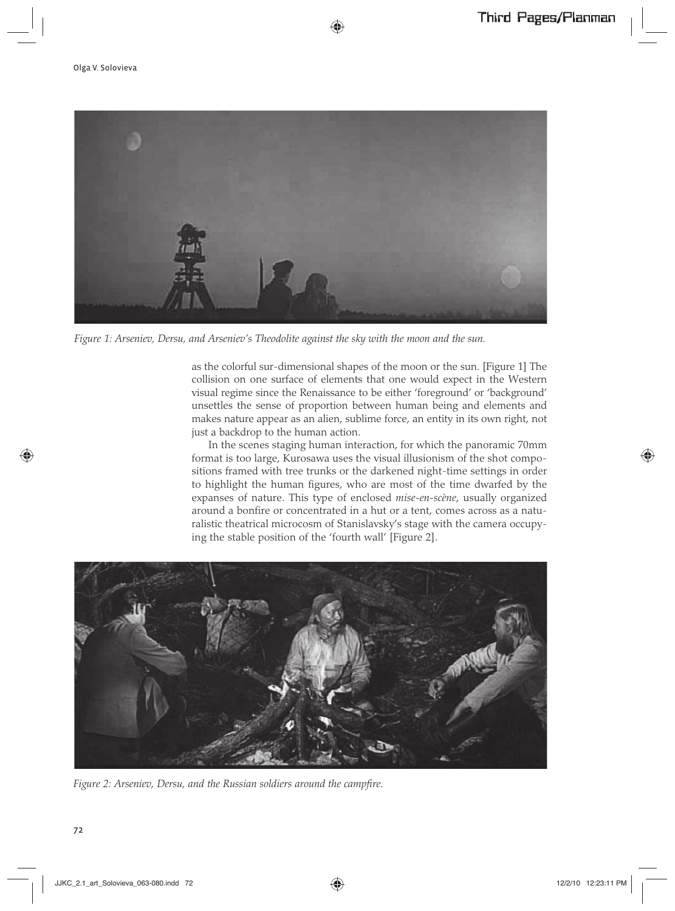

♠

Figure 1: Arseniev, Dersu, and Arseniev's Theodolite against the sky with the moon and the sun.

as the colorful sur-dimensional shapes of the moon or the sun. [Figure 1] The collision on one surface of elements that one would expect in the Western visual regime since the Renaissance to be either 'foreground' or 'background' unsettles the sense of proportion between human being and elements and makes nature appear as an alien, sublime force, an entity in its own right, not just a backdrop to the human action.

In the scenes staging human interaction, for which the panoramic 70mm format is too large, Kurosawa uses the visual illusionism of the shot compositions framed with tree trunks or the darkened night-time settings in order to highlight the human figures, who are most of the time dwarfed by the expanses of nature. This type of enclosed *mise-en-scène*, usually organized around a bonfire or concentrated in a hut or a tent, comes across as a naturalistic theatrical microcosm of Stanislavsky's stage with the camera occupying the stable position of the 'fourth wall' [Figure 2].



⊕

Figure 2: Arseniev, Dersu, and the Russian soldiers around the campfire.

◈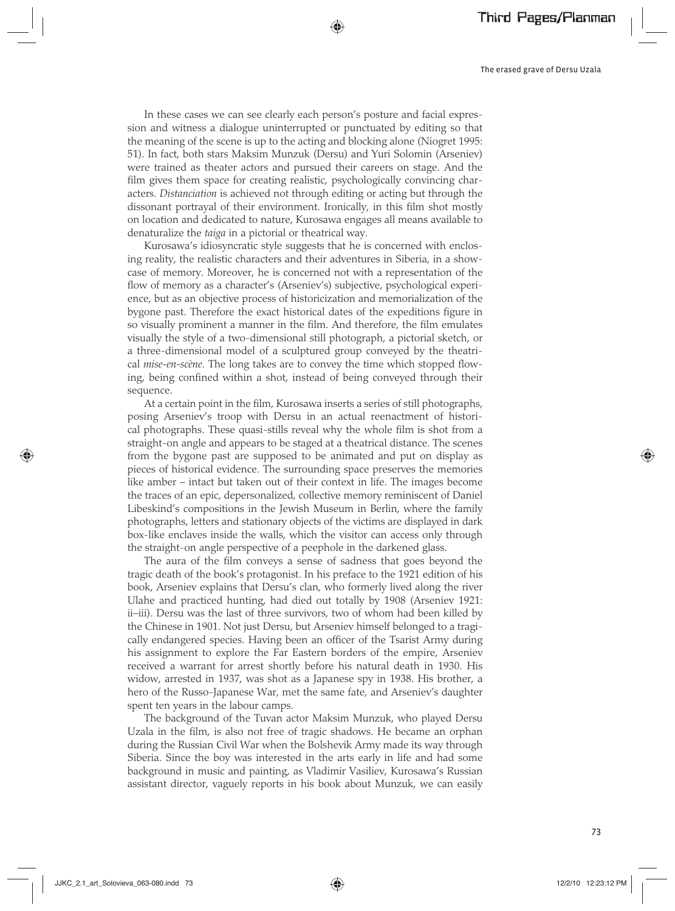In these cases we can see clearly each person's posture and facial expression and witness a dialogue uninterrupted or punctuated by editing so that the meaning of the scene is up to the acting and blocking alone (Niogret 1995: 51). In fact, both stars Maksim Munzuk (Dersu) and Yuri Solomin (Arseniev) were trained as theater actors and pursued their careers on stage. And the film gives them space for creating realistic, psychologically convincing characters. *Distanciation* is achieved not through editing or acting but through the dissonant portrayal of their environment. Ironically, in this film shot mostly on location and dedicated to nature, Kurosawa engages all means available to denaturalize the *taiga* in a pictorial or theatrical way.

Kurosawa's idiosyncratic style suggests that he is concerned with enclosing reality, the realistic characters and their adventures in Siberia, in a showcase of memory. Moreover, he is concerned not with a representation of the flow of memory as a character's (Arseniev's) subjective, psychological experience, but as an objective process of historicization and memorialization of the bygone past. Therefore the exact historical dates of the expeditions figure in so visually prominent a manner in the film. And therefore, the film emulates visually the style of a two-dimensional still photograph, a pictorial sketch, or a three-dimensional model of a sculptured group conveyed by the theatrical mise-en-scène. The long takes are to convey the time which stopped flowing, being confined within a shot, instead of being conveyed through their sequence.

At a certain point in the film, Kurosawa inserts a series of still photographs, posing Arseniev's troop with Dersu in an actual reenactment of historical photographs. These quasi-stills reveal why the whole film is shot from a straight-on angle and appears to be staged at a theatrical distance. The scenes from the bygone past are supposed to be animated and put on display as pieces of historical evidence. The surrounding space preserves the memories like amber – intact but taken out of their context in life. The images become the traces of an epic, depersonalized, collective memory reminiscent of Daniel Libeskind's compositions in the Jewish Museum in Berlin, where the family photographs, letters and stationary objects of the victims are displayed in dark box-like enclaves inside the walls, which the visitor can access only through the straight-on angle perspective of a peephole in the darkened glass.

The aura of the film conveys a sense of sadness that goes beyond the tragic death of the book's protagonist. In his preface to the 1921 edition of his book, Arseniev explains that Dersu's clan, who formerly lived along the river Ulahe and practiced hunting, had died out totally by 1908 (Arseniev 1921: ii-iii). Dersu was the last of three survivors, two of whom had been killed by the Chinese in 1901. Not just Dersu, but Arseniev himself belonged to a tragically endangered species. Having been an officer of the Tsarist Army during his assignment to explore the Far Eastern borders of the empire, Arseniev received a warrant for arrest shortly before his natural death in 1930. His widow, arrested in 1937, was shot as a Japanese spy in 1938. His brother, a hero of the Russo-Japanese War, met the same fate, and Arseniev's daughter spent ten years in the labour camps.

The background of the Tuvan actor Maksim Munzuk, who played Dersu Uzala in the film, is also not free of tragic shadows. He became an orphan during the Russian Civil War when the Bolshevik Army made its way through Siberia. Since the boy was interested in the arts early in life and had some background in music and painting, as Vladimir Vasiliev, Kurosawa's Russian assistant director, vaguely reports in his book about Munzuk, we can easily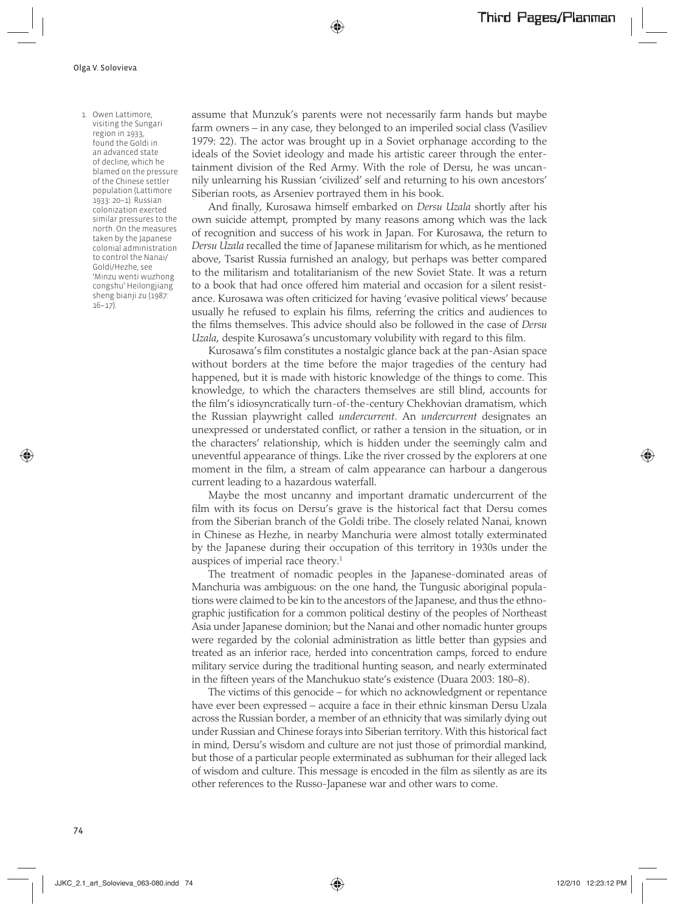1. Owen Lattimore, visiting the Sungari region in 1933, found the Goldi in an advanced state of decline, which he blamed on the pressure of the Chinese settler population (Lattimore 1933: 20-1). Russian colonization exerted similar pressures to the north On the measures taken by the Japanese colonial administration to control the Nanai/ Goldi/Hezhe, see 'Minzu wenti wuzhong congshu' Heilongjiang sheng bianji zu (1987:  $16 - 17$ ).

assume that Munzuk's parents were not necessarily farm hands but maybe farm owners - in any case, they belonged to an imperiled social class (Vasiliev 1979: 22). The actor was brought up in a Soviet orphanage according to the ideals of the Soviet ideology and made his artistic career through the entertainment division of the Red Army. With the role of Dersu, he was uncannily unlearning his Russian 'civilized' self and returning to his own ancestors' Siberian roots, as Arseniev portrayed them in his book.

⊕

And finally, Kurosawa himself embarked on Dersu Uzala shortly after his own suicide attempt, prompted by many reasons among which was the lack of recognition and success of his work in Japan. For Kurosawa, the return to Dersu Uzala recalled the time of Japanese militarism for which, as he mentioned above, Tsarist Russia furnished an analogy, but perhaps was better compared to the militarism and totalitarianism of the new Soviet State. It was a return to a book that had once offered him material and occasion for a silent resistance. Kurosawa was often criticized for having 'evasive political views' because usually he refused to explain his films, referring the critics and audiences to the films themselves. This advice should also be followed in the case of Dersu Uzala, despite Kurosawa's uncustomary volubility with regard to this film.

Kurosawa's film constitutes a nostalgic glance back at the pan-Asian space without borders at the time before the major tragedies of the century had happened, but it is made with historic knowledge of the things to come. This knowledge, to which the characters themselves are still blind, accounts for the film's idiosyncratically turn-of-the-century Chekhovian dramatism, which the Russian playwright called undercurrent. An undercurrent designates an unexpressed or understated conflict, or rather a tension in the situation, or in the characters' relationship, which is hidden under the seemingly calm and uneventful appearance of things. Like the river crossed by the explorers at one moment in the film, a stream of calm appearance can harbour a dangerous current leading to a hazardous waterfall.

Maybe the most uncanny and important dramatic undercurrent of the film with its focus on Dersu's grave is the historical fact that Dersu comes from the Siberian branch of the Goldi tribe. The closely related Nanai, known in Chinese as Hezhe, in nearby Manchuria were almost totally exterminated by the Japanese during their occupation of this territory in 1930s under the auspices of imperial race theory.<sup>1</sup>

The treatment of nomadic peoples in the Japanese-dominated areas of Manchuria was ambiguous: on the one hand, the Tungusic aboriginal populations were claimed to be kin to the ancestors of the Japanese, and thus the ethnographic justification for a common political destiny of the peoples of Northeast Asia under Japanese dominion; but the Nanai and other nomadic hunter groups were regarded by the colonial administration as little better than gypsies and treated as an inferior race, herded into concentration camps, forced to endure military service during the traditional hunting season, and nearly exterminated in the fifteen years of the Manchukuo state's existence (Duara 2003: 180–8).

The victims of this genocide – for which no acknowledgment or repentance have ever been expressed - acquire a face in their ethnic kinsman Dersu Uzala across the Russian border, a member of an ethnicity that was similarly dying out under Russian and Chinese forays into Siberian territory. With this historical fact in mind, Dersu's wisdom and culture are not just those of primordial mankind, but those of a particular people exterminated as subhuman for their alleged lack of wisdom and culture. This message is encoded in the film as silently as are its other references to the Russo-Japanese war and other wars to come.

⊕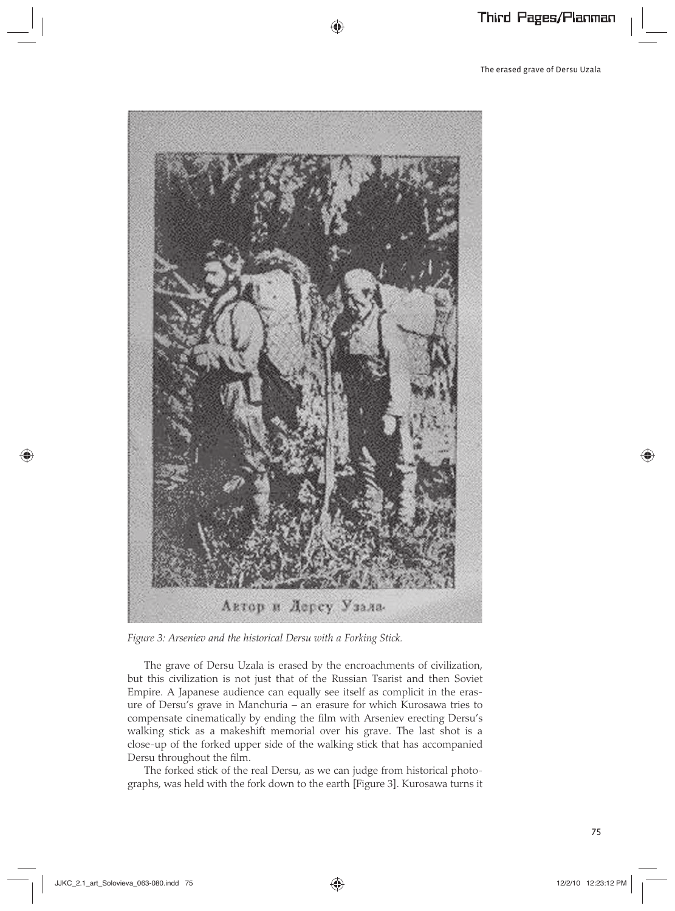The erased grave of Dersu Uzala



♠

Figure 3: Arseniev and the historical Dersu with a Forking Stick.

The grave of Dersu Uzala is erased by the encroachments of civilization, but this civilization is not just that of the Russian Tsarist and then Soviet Empire. A Japanese audience can equally see itself as complicit in the erasure of Dersu's grave in Manchuria - an erasure for which Kurosawa tries to compensate cinematically by ending the film with Arseniev erecting Dersu's walking stick as a makeshift memorial over his grave. The last shot is a close-up of the forked upper side of the walking stick that has accompanied Dersu throughout the film.

The forked stick of the real Dersu, as we can judge from historical photographs, was held with the fork down to the earth [Figure 3]. Kurosawa turns it ⊕

◈

 $\bigcirc$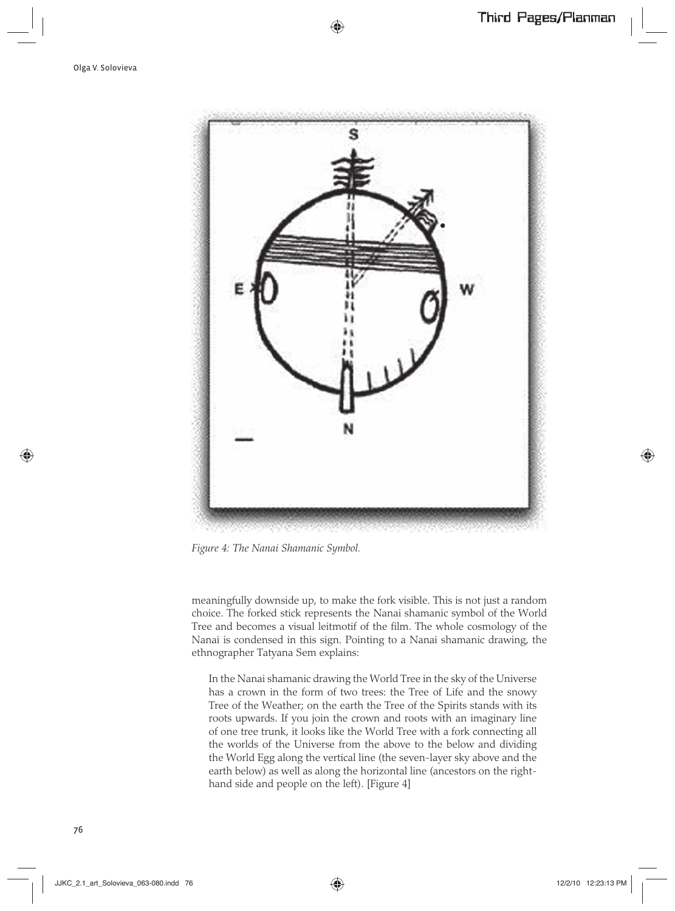Olga V. Solovieva



◈

Figure 4: The Nanai Shamanic Symbol.

meaningfully downside up, to make the fork visible. This is not just a random choice. The forked stick represents the Nanai shamanic symbol of the World Tree and becomes a visual leitmotif of the film. The whole cosmology of the Nanai is condensed in this sign. Pointing to a Nanai shamanic drawing, the ethnographer Tatyana Sem explains:

In the Nanai shamanic drawing the World Tree in the sky of the Universe has a crown in the form of two trees: the Tree of Life and the snowy Tree of the Weather; on the earth the Tree of the Spirits stands with its roots upwards. If you join the crown and roots with an imaginary line of one tree trunk, it looks like the World Tree with a fork connecting all the worlds of the Universe from the above to the below and dividing the World Egg along the vertical line (the seven-layer sky above and the earth below) as well as along the horizontal line (ancestors on the righthand side and people on the left). [Figure 4]

76

◈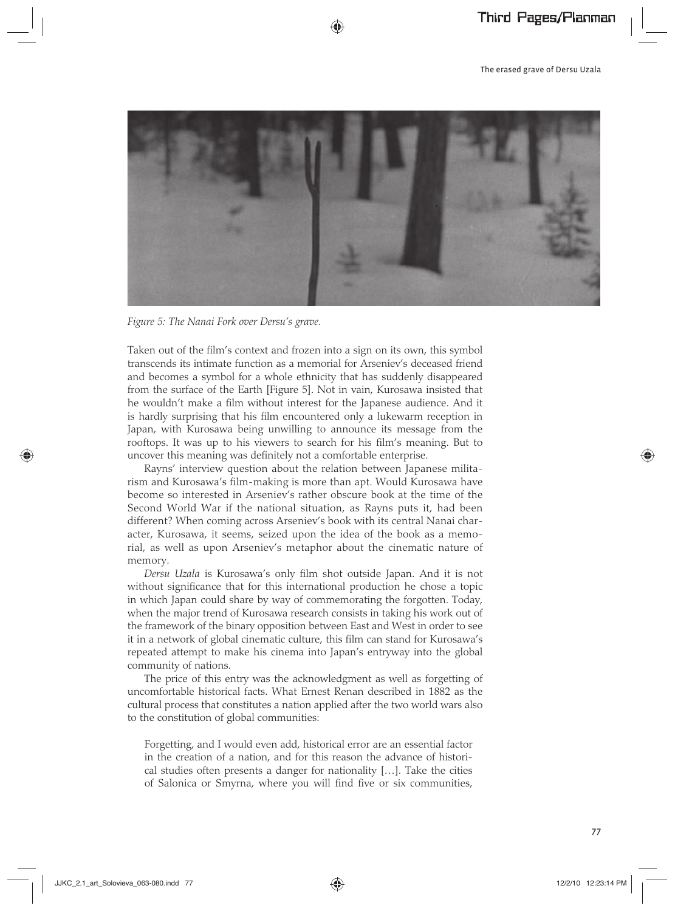The erased grave of Dersu Uzala



⊕

Figure 5: The Nanai Fork over Dersu's grave.

Taken out of the film's context and frozen into a sign on its own, this symbol transcends its intimate function as a memorial for Arseniev's deceased friend and becomes a symbol for a whole ethnicity that has suddenly disappeared from the surface of the Earth [Figure 5]. Not in vain, Kurosawa insisted that he wouldn't make a film without interest for the Japanese audience. And it is hardly surprising that his film encountered only a lukewarm reception in Japan, with Kurosawa being unwilling to announce its message from the rooftops. It was up to his viewers to search for his film's meaning. But to uncover this meaning was definitely not a comfortable enterprise.

Rayns' interview question about the relation between Japanese militarism and Kurosawa's film-making is more than apt. Would Kurosawa have become so interested in Arseniev's rather obscure book at the time of the Second World War if the national situation, as Rayns puts it, had been different? When coming across Arseniev's book with its central Nanai character, Kurosawa, it seems, seized upon the idea of the book as a memorial, as well as upon Arseniev's metaphor about the cinematic nature of memory.

Dersu Uzala is Kurosawa's only film shot outside Japan. And it is not without significance that for this international production he chose a topic in which Japan could share by way of commemorating the forgotten. Today, when the major trend of Kurosawa research consists in taking his work out of the framework of the binary opposition between East and West in order to see it in a network of global cinematic culture, this film can stand for Kurosawa's repeated attempt to make his cinema into Japan's entryway into the global community of nations.

The price of this entry was the acknowledgment as well as forgetting of uncomfortable historical facts. What Ernest Renan described in 1882 as the cultural process that constitutes a nation applied after the two world wars also to the constitution of global communities:

Forgetting, and I would even add, historical error are an essential factor in the creation of a nation, and for this reason the advance of historical studies often presents a danger for nationality [...]. Take the cities of Salonica or Smyrna, where you will find five or six communities,

⊕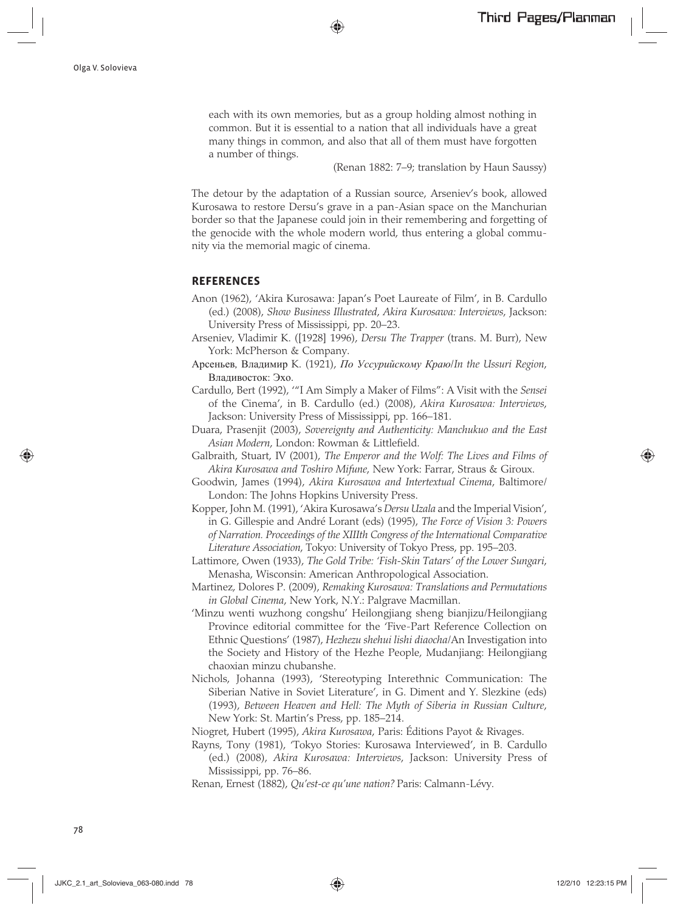each with its own memories, but as a group holding almost nothing in common. But it is essential to a nation that all individuals have a great many things in common, and also that all of them must have forgotten a number of things.

⊕

(Renan 1882: 7-9; translation by Haun Saussy)

The detour by the adaptation of a Russian source, Arseniev's book, allowed Kurosawa to restore Dersu's grave in a pan-Asian space on the Manchurian border so that the Japanese could join in their remembering and forgetting of the genocide with the whole modern world, thus entering a global community via the memorial magic of cinema.

### **REFERENCES**

- Anon (1962), 'Akira Kurosawa: Japan's Poet Laureate of Film', in B. Cardullo (ed.) (2008), Show Business Illustrated, Akira Kurosawa: Interviews, Jackson: University Press of Mississippi, pp. 20-23.
- Arseniev, Vladimir K. ([1928] 1996), Dersu The Trapper (trans. M. Burr), New York: McPherson & Company.
- Арсеньев, Владимир К. (1921), По Уссурийскому Краю/In the Ussuri Region, Владивосток: Эхо.
- Cardullo, Bert (1992), "'I Am Simply a Maker of Films": A Visit with the Sensei of the Cinema', in B. Cardullo (ed.) (2008), Akira Kurosawa: Interviews, Jackson: University Press of Mississippi, pp. 166-181.
- Duara, Prasenjit (2003), Sovereignty and Authenticity: Manchukuo and the East Asian Modern, London: Rowman & Littlefield.
- Galbraith, Stuart, IV (2001), The Emperor and the Wolf: The Lives and Films of Akira Kurosawa and Toshiro Mifune, New York: Farrar, Straus & Giroux.
- Goodwin, James (1994), Akira Kurosawa and Intertextual Cinema, Baltimore/ London: The Johns Hopkins University Press.
- Kopper, John M. (1991), 'Akira Kurosawa's Dersu Uzala and the Imperial Vision', in G. Gillespie and André Lorant (eds) (1995), The Force of Vision 3: Powers of Narration. Proceedings of the XIIIth Congress of the International Comparative Literature Association, Tokyo: University of Tokyo Press, pp. 195-203.
- Lattimore, Owen (1933), The Gold Tribe: 'Fish-Skin Tatars' of the Lower Sungari, Menasha, Wisconsin: American Anthropological Association.
- Martinez, Dolores P. (2009), Remaking Kurosawa: Translations and Permutations in Global Cinema, New York, N.Y.: Palgrave Macmillan.
- 'Minzu wenti wuzhong congshu' Heilongjiang sheng bianjizu/Heilongjiang Province editorial committee for the 'Five-Part Reference Collection on Ethnic Questions' (1987), Hezhezu shehui lishi diaocha/An Investigation into the Society and History of the Hezhe People, Mudanjiang: Heilongjiang chaoxian minzu chubanshe.
- Nichols, Johanna (1993), 'Stereotyping Interethnic Communication: The Siberian Native in Soviet Literature', in G. Diment and Y. Slezkine (eds) (1993), Between Heaven and Hell: The Myth of Siberia in Russian Culture, New York: St. Martin's Press, pp. 185-214.
- Niogret, Hubert (1995), Akira Kurosawa, Paris: Éditions Payot & Rivages.
- Rayns, Tony (1981), 'Tokyo Stories: Kurosawa Interviewed', in B. Cardullo (ed.) (2008)*, Akira Kurosawa: Interviews,* Jackson: University Press of Mississippi, pp. 76–86.
- Renan, Ernest (1882), Qu'est-ce qu'une nation? Paris: Calmann-Lévy.

◈

(▲)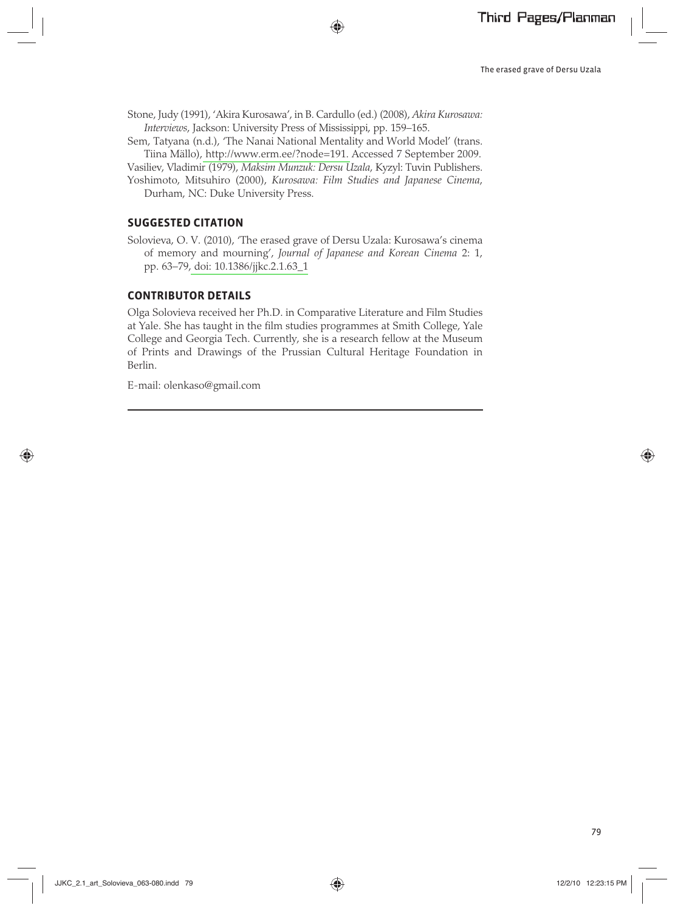Stone, Judy (1991), 'Akira Kurosawa', in B. Cardullo (ed.) (2008), Akira Kurosawa: Interviews, Jackson: University Press of Mississippi, pp. 159-165.

♠

Sem, Tatyana (n.d.), 'The Nanai National Mentality and World Model' (trans. Tiina Mällo), http://www.erm.ee/?node=191. Accessed 7 September 2009.

Vasiliev, Vladimir (1979), Maksim Munzuk: Dersu Uzala, Kyzyl: Tuvin Publishers. Yoshimoto, Mitsuhiro (2000), Kurosawa: Film Studies and Japanese Cinema,

Durham, NC: Duke University Press.

### **SUGGESTED CITATION**

Solovieva, O. V. (2010), 'The erased grave of Dersu Uzala: Kurosawa's cinema of memory and mourning', Journal of Japanese and Korean Cinema 2: 1, pp. 63-79, doi: 10.1386/jjkc.2.1.63\_1

### **CONTRIBUTOR DETAILS**

Olga Solovieva received her Ph.D. in Comparative Literature and Film Studies at Yale. She has taught in the film studies programmes at Smith College, Yale College and Georgia Tech. Currently, she is a research fellow at the Museum of Prints and Drawings of the Prussian Cultural Heritage Foundation in Berlin.

E-mail: olenkaso@gmail.com

⊕